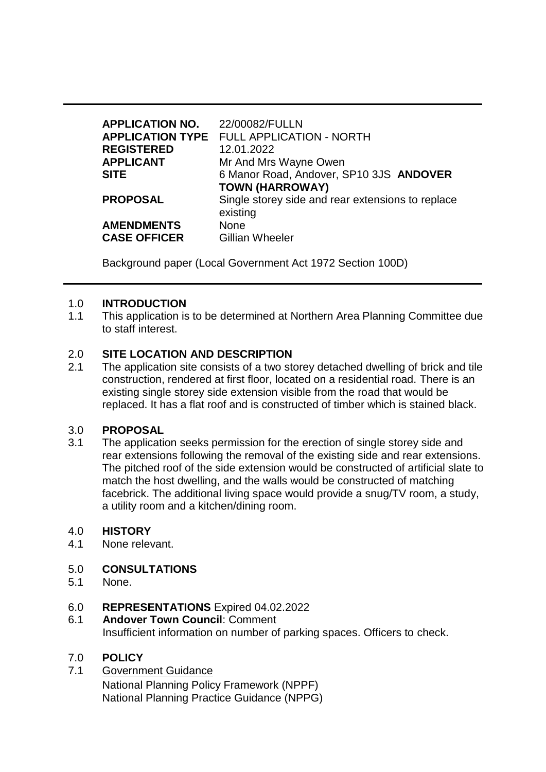| <b>APPLICATION NO.</b> | 22/00082/FULLN                                                |
|------------------------|---------------------------------------------------------------|
|                        | <b>APPLICATION TYPE FULL APPLICATION - NORTH</b>              |
| <b>REGISTERED</b>      | 12.01.2022                                                    |
| <b>APPLICANT</b>       | Mr And Mrs Wayne Owen                                         |
| <b>SITE</b>            | 6 Manor Road, Andover, SP10 3JS ANDOVER                       |
|                        | <b>TOWN (HARROWAY)</b>                                        |
| <b>PROPOSAL</b>        | Single storey side and rear extensions to replace<br>existing |
| <b>AMENDMENTS</b>      | <b>None</b>                                                   |
| <b>CASE OFFICER</b>    | <b>Gillian Wheeler</b>                                        |

Background paper (Local Government Act 1972 Section 100D)

#### 1.0 **INTRODUCTION**

1.1 This application is to be determined at Northern Area Planning Committee due to staff interest.

### 2.0 **SITE LOCATION AND DESCRIPTION**

2.1 The application site consists of a two storey detached dwelling of brick and tile construction, rendered at first floor, located on a residential road. There is an existing single storey side extension visible from the road that would be replaced. It has a flat roof and is constructed of timber which is stained black.

#### 3.0 **PROPOSAL**

3.1 The application seeks permission for the erection of single storey side and rear extensions following the removal of the existing side and rear extensions. The pitched roof of the side extension would be constructed of artificial slate to match the host dwelling, and the walls would be constructed of matching facebrick. The additional living space would provide a snug/TV room, a study, a utility room and a kitchen/dining room.

#### 4.0 **HISTORY**

4.1 None relevant.

# 5.0 **CONSULTATIONS**

- 5.1 None.
- 6.0 **REPRESENTATIONS** Expired 04.02.2022
- 6.1 **Andover Town Council**: Comment Insufficient information on number of parking spaces. Officers to check.

# 7.0 **POLICY**

7.1 Government Guidance National Planning Policy Framework (NPPF) National Planning Practice Guidance (NPPG)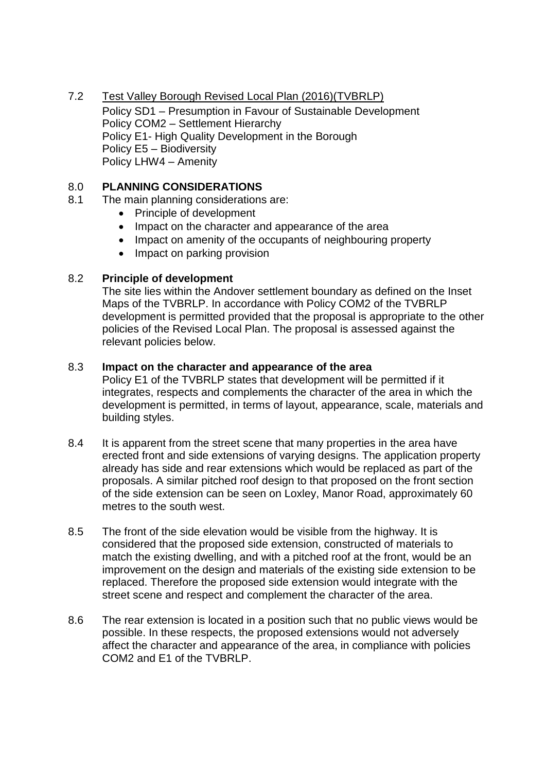7.2 Test Valley Borough Revised Local Plan (2016)(TVBRLP) Policy SD1 – Presumption in Favour of Sustainable Development Policy COM2 – Settlement Hierarchy Policy E1- High Quality Development in the Borough Policy E5 – Biodiversity Policy LHW4 – Amenity

## 8.0 **PLANNING CONSIDERATIONS**

- 8.1 The main planning considerations are:
	- Principle of development
	- Impact on the character and appearance of the area
	- Impact on amenity of the occupants of neighbouring property
	- Impact on parking provision

#### 8.2 **Principle of development**

The site lies within the Andover settlement boundary as defined on the Inset Maps of the TVBRLP. In accordance with Policy COM2 of the TVBRLP development is permitted provided that the proposal is appropriate to the other policies of the Revised Local Plan. The proposal is assessed against the relevant policies below.

#### 8.3 **Impact on the character and appearance of the area**

Policy E1 of the TVBRLP states that development will be permitted if it integrates, respects and complements the character of the area in which the development is permitted, in terms of layout, appearance, scale, materials and building styles.

- 8.4 It is apparent from the street scene that many properties in the area have erected front and side extensions of varying designs. The application property already has side and rear extensions which would be replaced as part of the proposals. A similar pitched roof design to that proposed on the front section of the side extension can be seen on Loxley, Manor Road, approximately 60 metres to the south west.
- 8.5 The front of the side elevation would be visible from the highway. It is considered that the proposed side extension, constructed of materials to match the existing dwelling, and with a pitched roof at the front, would be an improvement on the design and materials of the existing side extension to be replaced. Therefore the proposed side extension would integrate with the street scene and respect and complement the character of the area.
- 8.6 The rear extension is located in a position such that no public views would be possible. In these respects, the proposed extensions would not adversely affect the character and appearance of the area, in compliance with policies COM2 and E1 of the TVBRLP.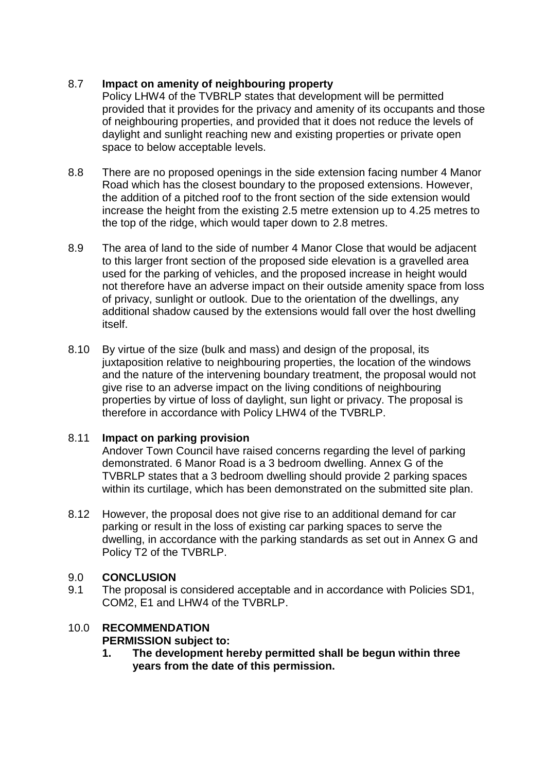# 8.7 **Impact on amenity of neighbouring property**

Policy LHW4 of the TVBRLP states that development will be permitted provided that it provides for the privacy and amenity of its occupants and those of neighbouring properties, and provided that it does not reduce the levels of daylight and sunlight reaching new and existing properties or private open space to below acceptable levels.

- 8.8 There are no proposed openings in the side extension facing number 4 Manor Road which has the closest boundary to the proposed extensions. However, the addition of a pitched roof to the front section of the side extension would increase the height from the existing 2.5 metre extension up to 4.25 metres to the top of the ridge, which would taper down to 2.8 metres.
- 8.9 The area of land to the side of number 4 Manor Close that would be adjacent to this larger front section of the proposed side elevation is a gravelled area used for the parking of vehicles, and the proposed increase in height would not therefore have an adverse impact on their outside amenity space from loss of privacy, sunlight or outlook. Due to the orientation of the dwellings, any additional shadow caused by the extensions would fall over the host dwelling itself.
- 8.10 By virtue of the size (bulk and mass) and design of the proposal, its juxtaposition relative to neighbouring properties, the location of the windows and the nature of the intervening boundary treatment, the proposal would not give rise to an adverse impact on the living conditions of neighbouring properties by virtue of loss of daylight, sun light or privacy. The proposal is therefore in accordance with Policy LHW4 of the TVBRLP.

# 8.11 **Impact on parking provision**

Andover Town Council have raised concerns regarding the level of parking demonstrated. 6 Manor Road is a 3 bedroom dwelling. Annex G of the TVBRLP states that a 3 bedroom dwelling should provide 2 parking spaces within its curtilage, which has been demonstrated on the submitted site plan.

8.12 However, the proposal does not give rise to an additional demand for car parking or result in the loss of existing car parking spaces to serve the dwelling, in accordance with the parking standards as set out in Annex G and Policy T2 of the TVBRLP.

# 9.0 **CONCLUSION**

9.1 The proposal is considered acceptable and in accordance with Policies SD1, COM2, E1 and LHW4 of the TVBRLP.

# 10.0 **RECOMMENDATION**

# **PERMISSION subject to:**

**1. The development hereby permitted shall be begun within three years from the date of this permission.**